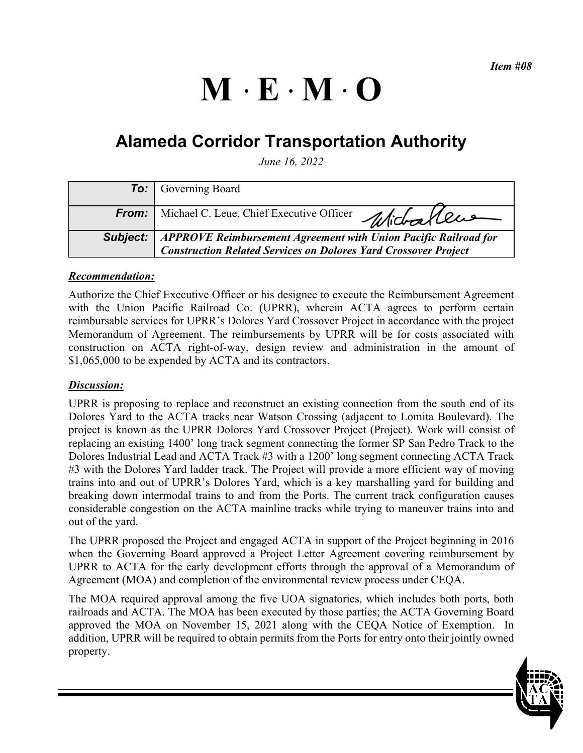# $M \cdot E \cdot M \cdot O$

# **Alameda Corridor Transportation Authority**

*June 16, 2022* 

|              | <b>To:</b> Governing Board                                                                                                                                  |
|--------------|-------------------------------------------------------------------------------------------------------------------------------------------------------------|
| <b>From:</b> | Michael C. Leue, Chief Executive Officer Michael CLUS                                                                                                       |
|              | <b>Subject:</b>   APPROVE Reimbursement Agreement with Union Pacific Railroad for<br><b>Construction Related Services on Dolores Yard Crossover Project</b> |

# *Recommendation:*

Authorize the Chief Executive Officer or his designee to execute the Reimbursement Agreement with the Union Pacific Railroad Co. (UPRR), wherein ACTA agrees to perform certain reimbursable services for UPRR's Dolores Yard Crossover Project in accordance with the project Memorandum of Agreement. The reimbursements by UPRR will be for costs associated with construction on ACTA right-of-way, design review and administration in the amount of \$1,065,000 to be expended by ACTA and its contractors.

# *Discussion:*

UPRR is proposing to replace and reconstruct an existing connection from the south end of its Dolores Yard to the ACTA tracks near Watson Crossing (adjacent to Lomita Boulevard). The project is known as the UPRR Dolores Yard Crossover Project (Project). Work will consist of replacing an existing 1400' long track segment connecting the former SP San Pedro Track to the Dolores Industrial Lead and ACTA Track #3 with a 1200' long segment connecting ACTA Track #3 with the Dolores Yard ladder track. The Project will provide a more efficient way of moving trains into and out of UPRR's Dolores Yard, which is a key marshalling yard for building and breaking down intermodal trains to and from the Ports. The current track configuration causes considerable congestion on the ACTA mainline tracks while trying to maneuver trains into and out of the yard.

The UPRR proposed the Project and engaged ACTA in support of the Project beginning in 2016 when the Governing Board approved a Project Letter Agreement covering reimbursement by UPRR to ACTA for the early development efforts through the approval of a Memorandum of Agreement (MOA) and completion of the environmental review process under CEQA.

The MOA required approval among the five UOA signatories, which includes both ports, both railroads and ACTA. The MOA has been executed by those parties; the ACTA Governing Board approved the MOA on November 15, 2021 along with the CEQA Notice of Exemption. In addition, UPRR will be required to obtain permits from the Ports for entry onto their jointly owned property.